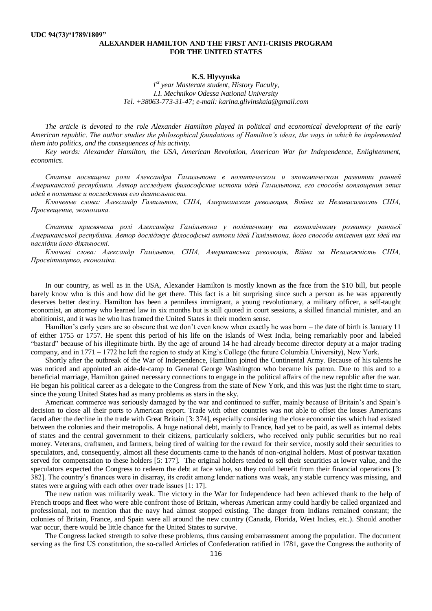## **ALEXANDER HAMILTON AND THE FIRST ANTI-CRISIS PROGRAM FOR THE UNITED STATES**

## **K.S. Hlyvynska**

*1 st year Masterate student, History Faculty, I.I. Mechnikov Odessa National University Tel. +38063-773-31-47; e-mail: karina.glivinskaia@gmail.com*

*The article is devoted to the role Alexander Hamilton played in political and economical development of the early American republic. The author studies the philosophical foundations of Hamilton's ideas, the ways in which he implemented them into politics, and the consequences of his activity.*

*Key words: Alexander Hamilton, the USA, American Revolution, American War for Independence, Enlightenment, economics.*

*Статья посвящена роли Александра Гамильтона в политическом и экономическом развитии ранней Американской республики. Автор исследует философские истоки идей Гамильтона, его способы воплощения этих идей в политике и последствия его деятельности.*

*Ключевые слова: Александр Гамильтон, США, Американская революция, Война за Независимость США, Просвещение, экономика.*

*Стаття присвячена ролі Александра Гамільтона у політичному та економічному розвитку ранньої Американської республіки. Автор досліджує філософські витоки ідей Гамільтона, його способи втілення цих ідей та наслідки його діяльності.*

*Ключові слова: Александр Гамільтон, США, Американська революція, Війна за Незалежність США, Просвітництво, економіка.* 

In our country, as well as in the USA, Alexander Hamilton is mostly known as the face from the \$10 bill, but people barely know who is this and how did he get there. This fact is a bit surprising since such a person as he was apparently deserves better destiny. Hamilton has been a penniless immigrant, a young revolutionary, a military officer, a self-taught economist, an attorney who learned law in six months but is still quoted in court sessions, a skilled financial minister, and an abolitionist, and it was he who has framed the United States in their modern sense.

Hamilton's early years are so obscure that we don't even know when exactly he was born – the date of birth is January 11 of either 1755 or 1757. He spent this period of his life on the islands of West India, being remarkably poor and labeled "bastard" because of his illegitimate birth. By the age of around 14 he had already become director deputy at a major trading company, and in 1771 – 1772 he left the region to study at King's College (the future Columbia University), New York.

Shortly after the outbreak of the War of Independence, Hamilton joined the Continental Army. Because of his talents he was noticed and appointed an aide-de-camp to General George Washington who became his patron. Due to this and to a beneficial marriage, Hamilton gained necessary connections to engage in the political affairs of the new republic after the war. He began his political career as a delegate to the Congress from the state of New York, and this was just the right time to start, since the young United States had as many problems as stars in the sky.

American commerce was seriously damaged by the war and continued to suffer, mainly because of Britain's and Spain's decision to close all their ports to American export. Trade with other countries was not able to offset the losses Americans faced after the decline in the trade with Great Britain [3: 374], especially considering the close economic ties which had existed between the colonies and their metropolis. A huge national debt, mainly to France, had yet to be paid, as well as internal debts of states and the central government to their citizens, particularly soldiers, who received only public securities but no real money. Veterans, craftsmen, and farmers, being tired of waiting for the reward for their service, mostly sold their securities to speculators, and, consequently, almost all these documents came to the hands of non-original holders. Most of postwar taxation served for compensation to these holders [5: 177]. The original holders tended to sell their securities at lower value, and the speculators expected the Congress to redeem the debt at face value, so they could benefit from their financial operations [3: 382]. The country's finances were in disarray, its credit among lender nations was weak, any stable currency was missing, and states were arguing with each other over trade issues [1: 17].

The new nation was militarily weak. The victory in the War for Independence had been achieved thank to the help of French troops and fleet who were able confront those of Britain, whereas American army could hardly be called organized and professional, not to mention that the navy had almost stopped existing. The danger from Indians remained constant; the colonies of Britain, France, and Spain were all around the new country (Canada, Florida, West Indies, etc.). Should another war occur, there would be little chance for the United States to survive.

The Congress lacked strength to solve these problems, thus causing embarrassment among the population. The document serving as the first US constitution, the so-called Articles of Confederation ratified in 1781, gave the Congress the authority of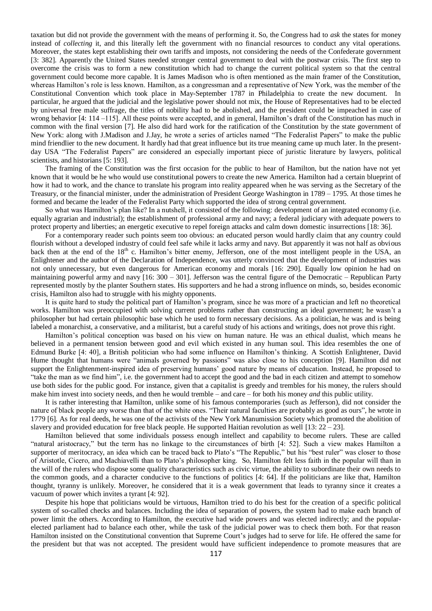taxation but did not provide the government with the means of performing it. So, the Congress had to *ask* the states for money instead of *collecting* it, and this literally left the government with no financial resources to conduct any vital operations. Moreover, the states kept establishing their own tariffs and imposts, not considering the needs of the Confederate government [3: 382]. Apparently the United States needed stronger central government to deal with the postwar crisis. The first step to overcome the crisis was to form a new constitution which had to change the current political system so that the central government could become more capable. It is James Madison who is often mentioned as the main framer of the Constitution, whereas Hamilton's role is less known. Hamilton, as a congressman and a representative of New York, was the member of the Constitutional Convention which took place in May-September 1787 in Philadelphia to create the new document. In particular, he argued that the judicial and the legislative power should not mix, the House of Representatives had to be elected by universal free male suffrage, the titles of nobility had to be abolished, and the president could be impeached in case of wrong behavior [4: 114 –115]. All these points were accepted, and in general, Hamilton's draft of the Constitution has much in common with the final version [7]. He also did hard work for the ratification of the Constitution by the state government of New York: along with J.Madison and J.Jay, he wrote a series of articles named "The Federalist Papers" to make the public mind friendlier to the new document. It hardly had that great influence but its true meaning came up much later. In the presentday USA "The Federalist Papers" are considered an especially important piece of juristic literature by lawyers, political scientists, and historians [5: 193].

The framing of the Constitution was the first occasion for the public to hear of Hamilton, but the nation have not yet known that it would be he who would use constitutional powers to create the new America. Hamilton had a certain blueprint of how it had to work, and the chance to translate his program into reality appeared when he was serving as the Secretary of the Treasury, or the financial minister, under the administration of President George Washington in 1789 – 1795. At those times he formed and became the leader of the Federalist Party which supported the idea of strong central government.

So what was Hamilton's plan like? In a nutshell, it consisted of the following: development of an integrated economy (i.e. equally agrarian and industrial); the establishment of professional army and navy; a federal judiciary with adequate powers to protect property and liberties; an energetic executive to repel foreign attacks and calm down domestic insurrections [18: 36].

For a contemporary reader such points seem too obvious: an educated person would hardly claim that any country could flourish without a developed industry of could feel safe while it lacks army and navy. But apparently it was not half as obvious back then at the end of the  $18<sup>th</sup>$  c. Hamilton's bitter enemy, Jefferson, one of the most intelligent people in the USA, an Enlightener and the author of the Declaration of Independence, was utterly convinced that the development of industries was not only unnecessary, but even dangerous for American economy and morals [16: 290]. Equally low opinion he had on maintaining powerful army and navy [16: 300 – 301]. Jefferson was the central figure of the Democratic – Republican Party represented mostly by the planter Southern states. His supporters and he had a strong influence on minds, so, besides economic crisis, Hamilton also had to struggle with his mighty opponents.

It is quite hard to study the political part of Hamilton's program, since he was more of a practician and left no theoretical works. Hamilton was preoccupied with solving current problems rather than constructing an ideal government; he wasn't a philosopher but had certain philosophic base which he used to form necessary decisions. As a politician, he was and is being labeled a monarchist, a conservative, and a militarist, but a careful study of his actions and writings, does not prove this right.

Hamilton's political conception was based on his view on human nature. He was an ethical dualist, which means he believed in a permanent tension between good and evil which existed in any human soul. This idea resembles the one of Edmund Burke [4: 40], a British politician who had some influence on Hamilton's thinking. A Scottish Enlightener, David Hume thought that humans were "animals governed by passions" was also close to his conception [9]. Hamilton did not support the Enlightenment-inspired idea of preserving humans' good nature by means of education. Instead, he proposed to "take the man as we find him", i.e. the government had to accept the good and the bad in each citizen and attempt to somehow use both sides for the public good. For instance, given that a capitalist is greedy and trembles for his money, the rulers should make him invest into society needs, and then he would tremble – and care – for both his money *and* this public utility.

It is rather interesting that Hamilton, unlike some of his famous contemporaries (such as Jefferson), did not consider the nature of black people any worse than that of the white ones. "Their natural faculties are probably as good as ours", he wrote in 1779 [6]. As for real deeds, he was one of the activists of the New York Manumission Society which promoted the abolition of slavery and provided education for free black people. He supported Haitian revolution as well [13: 22 – 23].

Hamilton believed that some individuals possess enough intellect and capability to become rulers. These are called "natural aristocracy," but the term has no linkage to the circumstances of birth [4: 52]. Such a view makes Hamilton a supporter of meritocracy, an idea which can be traced back to Plato's "The Republic," but his "best ruler" was closer to those of Aristotle, Cicero, and Machiavelli than to Plato's philosopher king. So, Hamilton felt less faith in the popular will than in the will of the rulers who dispose some quality characteristics such as civic virtue, the ability to subordinate their own needs to the common goods, and a character conducive to the functions of politics [4: 64]. If the politicians are like that, Hamilton thought, tyranny is unlikely. Moreover, he considered that it is a weak government that leads to tyranny since it creates a vacuum of power which invites a tyrant [4: 92].

Despite his hope that politicians would be virtuous, Hamilton tried to do his best for the creation of a specific political system of so-called checks and balances. Including the idea of separation of powers, the system had to make each branch of power limit the others. According to Hamilton, the executive had wide powers and was elected indirectly; and the popularelected parliament had to balance each other, while the task of the judicial power was to check them both. For that reason Hamilton insisted on the Constitutional convention that Supreme Court's judges had to serve for life. He offered the same for the president but that was not accepted. The president would have sufficient independence to promote measures that are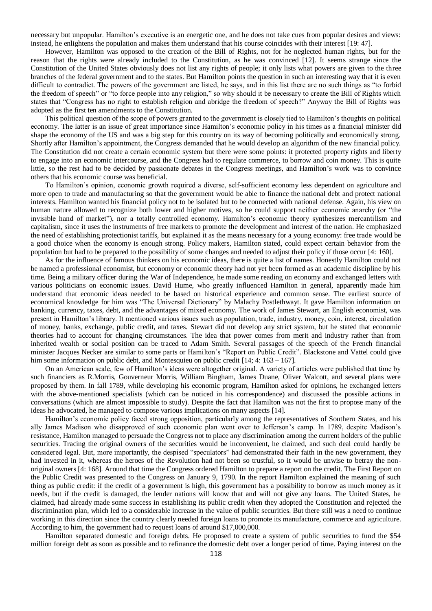necessary but unpopular. Hamilton's executive is an energetic one, and he does not take cues from popular desires and views: instead, he enlightens the population and makes them understand that his course coincides with their interest [19: 47].

However, Hamilton was opposed to the creation of the Bill of Rights, not for he neglected human rights, but for the reason that the rights were already included to the Constitution, as he was convinced [12]. It seems strange since the Constitution of the United States obviously does not list any rights of people; it only lists what powers are given to the three branches of the federal government and to the states. But Hamilton points the question in such an interesting way that it is even difficult to contradict. The powers of the government are listed, he says, and in this list there are no such things as "to forbid the freedom of speech" or "to force people into any religion," so why should it be necessary to create the Bill of Rights which states that "Congress has no right to establish religion and abridge the freedom of speech?" Anyway the Bill of Rights was adopted as the first ten amendments to the Constitution.

This political question of the scope of powers granted to the government is closely tied to Hamilton's thoughts on political economy. The latter is an issue of great importance since Hamilton's economic policy in his times as a financial minister did shape the economy of the US and was a big step for this country on its way of becoming politically and economically strong. Shortly after Hamilton's appointment, the Congress demanded that he would develop an algorithm of the new financial policy. The Constitution did not create a certain economic system but there were some points: it protected property rights and liberty to engage into an economic intercourse, and the Congress had to regulate commerce, to borrow and coin money. This is quite little, so the rest had to be decided by passionate debates in the Congress meetings, and Hamilton's work was to convince others that his economic course was beneficial.

To Hamilton's opinion, economic growth required a diverse, self-sufficient economy less dependent on agriculture and more open to trade and manufacturing so that the government would be able to finance the national debt and protect national interests. Hamilton wanted his financial policy not to be isolated but to be connected with national defense. Again, his view on human nature allowed to recognize both lower and higher motives, so he could support neither economic anarchy (or "the invisible hand of market"), nor a totally controlled economy. Hamilton's economic theory synthesizes mercantilism and capitalism, since it uses the instruments of free markets to promote the development and interest of the nation. He emphasized the need of establishing protectionist tariffs, but explained it as the means necessary for a young economy: free trade would be a good choice when the economy is enough strong. Policy makers, Hamilton stated, could expect certain behavior from the population but had to be prepared to the possibility of some changes and needed to adjust their policy if those occur [4: 160].

As for the influence of famous thinkers on his economic ideas, there is quite a list of names. Honestly Hamilton could not be named a professional economist, but economy or economic theory had not yet been formed as an academic discipline by his time. Being a military officer during the War of Independence, he made some reading on economy and exchanged letters with various politicians on economic issues. David Hume, who greatly influenced Hamilton in general, apparently made him understand that economic ideas needed to be based on historical experience and common sense. The earliest source of economical knowledge for him was "The Universal Dictionary" by Malachy Postlethwayt. It gave Hamilton information on banking, currency, taxes, debt, and the advantages of mixed economy. The work of James Stewart, an English economist, was present in Hamilton's library. It mentioned various issues such as population, trade, industry, money, coin, interest, circulation of money, banks, exchange, public credit, and taxes. Stewart did not develop any strict system, but he stated that economic theories had to account for changing circumstances. The idea that power comes from merit and industry rather than from inherited wealth or social position can be traced to Adam Smith. Several passages of the speech of the French financial minister Jacques Necker are similar to some parts or Hamilton's "Report on Public Credit". Blackstone and Vattel could give him some information on public debt, and Montesquieu on public credit [14; 4: 163 – 167].

On an American scale, few of Hamilton's ideas were altogether original. A variety of articles were published that time by such financiers as R.Morris, Gouverneur Morris, William Bingham, James Duane, Oliver Walcott, and several plans were proposed by them. In fall 1789, while developing his economic program, Hamilton asked for opinions, he exchanged letters with the above-mentioned specialists (which can be noticed in his correspondence) and discussed the possible actions in conversations (which are almost impossible to study). Despite the fact that Hamilton was not the first to propose many of the ideas he advocated, he managed to compose various implications on many aspects [14].

Hamilton's economic policy faced strong opposition, particularly among the representatives of Southern States, and his ally James Madison who disapproved of such economic plan went over to Jefferson's camp. In 1789, despite Madison's resistance, Hamilton managed to persuade the Congress not to place any discrimination among the current holders of the public securities. Tracing the original owners of the securities would be inconvenient, he claimed, and such deal could hardly be considered legal. But, more importantly, the despised "speculators" had demonstrated their faith in the new government, they had invested in it, whereas the heroes of the Revolution had not been so trustful, so it would be unwise to betray the nonoriginal owners [4: 168]. Around that time the Congress ordered Hamilton to prepare a report on the credit. The First Report on the Public Credit was presented to the Congress on January 9, 1790. In the report Hamilton explained the meaning of such thing as public credit: if the credit of a government is high, this government has a possibility to borrow as much money as it needs, but if the credit is damaged, the lender nations will know that and will not give any loans. The United States, he claimed, had already made some success in establishing its public credit when they adopted the Constitution and rejected the discrimination plan, which led to a considerable increase in the value of public securities. But there still was a need to continue working in this direction since the country clearly needed foreign loans to promote its manufacture, commerce and agriculture. According to him, the government had to request loans of around \$17,000,000.

Hamilton separated domestic and foreign debts. He proposed to create a system of public securities to fund the \$54 million foreign debt as soon as possible and to refinance the domestic debt over a longer period of time. Paying interest on the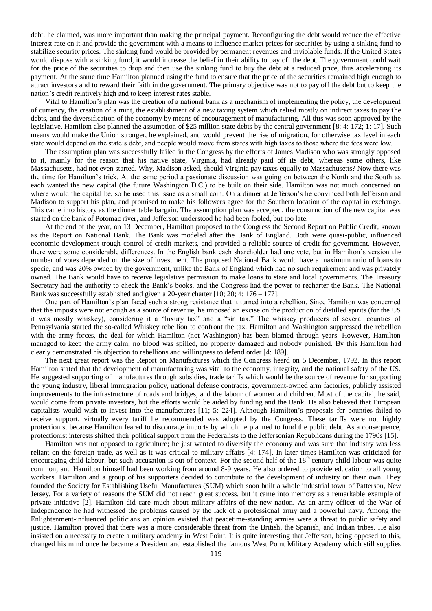debt, he claimed, was more important than making the principal payment. Reconfiguring the debt would reduce the effective interest rate on it and provide the government with a means to influence market prices for securities by using a sinking fund to stabilize security prices. The sinking fund would be provided by permanent revenues and inviolable funds. If the United States would dispose with a sinking fund, it would increase the belief in their ability to pay off the debt. The government could wait for the price of the securities to drop and then use the sinking fund to buy the debt at a reduced price, thus accelerating its payment. At the same time Hamilton planned using the fund to ensure that the price of the securities remained high enough to attract investors and to reward their faith in the government. The primary objective was not to pay off the debt but to keep the nation's credit relatively high and to keep interest rates stable.

Vital to Hamilton's plan was the creation of a national bank as a mechanism of implementing the policy, the development of currency, the creation of a mint, the establishment of a new taxing system which relied mostly on indirect taxes to pay the debts, and the diversification of the economy by means of encouragement of manufacturing. All this was soon approved by the legislative. Hamilton also planned the assumption of \$25 million state debts by the central government [8; 4: 172; 1: 17]. Such means would make the Union stronger, he explained, and would prevent the rise of migration, for otherwise tax level in each state would depend on the state's debt, and people would move from states with high ta es to those where the fees were low.

The assumption plan was successfully failed in the Congress by the efforts of James Madison who was strongly opposed to it, mainly for the reason that his native state, Virginia, had already paid off its debt, whereas some others, like Massachusetts, had not even started. Why, Madison asked, should Virginia pay taxes equally to Massachusetts? Now there was the time for Hamilton's trick. At the same period a passionate discussion was going on between the North and the South as each wanted the new capital (the future Washington D.C.) to be built on their side. Hamilton was not much concerned on where would the capital be, so he used this issue as a small coin. On a dinner at Jefferson's he convinced both Jefferson and Madison to support his plan, and promised to make his followers agree for the Southern location of the capital in exchange. This came into history as the dinner table bargain. The assumption plan was accepted, the construction of the new capital was started on the bank of Potomac river, and Jefferson understood he had been fooled, but too late.

At the end of the year, on 13 December, Hamilton proposed to the Congress the Second Report on Public Credit, known as the Report on National Bank. The Bank was modeled after the Bank of England. Both were quasi-public, influenced economic development trough control of credit markets, and provided a reliable source of credit for government. However, there were some considerable differences. In the English bank each shareholder had one vote, but in Hamilton's version the number of votes depended on the size of investment. The proposed National Bank would have a maximum ratio of loans to specie, and was 20% owned by the government, unlike the Bank of England which had no such requirement and was privately owned. The Bank would have to receive legislative permission to make loans to state and local governments. The Treasury Secretary had the authority to check the Bank's books, and the Congress had the power to recharter the Bank. The National Bank was successfully established and given a 20-year charter [10; 20; 4: 176 – 177].

One part of Hamilton's plan faced such a strong resistance that it turned into a rebellion. Since Hamilton was concerned that the imposts were not enough as a source of revenue, he imposed an excise on the production of distilled spirits (for the US it was mostly whiskey), considering it a "luxury tax" and a "sin tax." The whiskey producers of several counties of Pennsylvania started the so-called Whiskey rebellion to confront the tax. Hamilton and Washington suppressed the rebellion with the army forces, the deal for which Hamilton (not Washington) has been blamed through years. However, Hamilton managed to keep the army calm, no blood was spilled, no property damaged and nobody punished. By this Hamilton had clearly demonstrated his objection to rebellions and willingness to defend order [4: 189].

The next great report was the Report on Manufactures which the Congress heard on 5 December, 1792. In this report Hamilton stated that the development of manufacturing was vital to the economy, integrity, and the national safety of the US. He suggested supporting of manufactures through subsidies, trade tariffs which would be the source of revenue for supporting the young industry, liberal immigration policy, national defense contracts, government-owned arm factories, publicly assisted improvements to the infrastructure of roads and bridges, and the labour of women and children. Most of the capital, he said, would come from private investors, but the efforts would be aided by funding and the Bank. He also believed that European capitalists would wish to invest into the manufactures [11; 5: 224]. Although Hamilton's proposals for bounties failed to receive support, virtually every tariff he recommended was adopted by the Congress. These tariffs were not highly protectionist because Hamilton feared to discourage imports by which he planned to fund the public debt. As a consequence, protectionist interests shifted their political support from the Federalists to the Jeffersonian Republicans during the 1790s [15].

Hamilton was not opposed to agriculture; he just wanted to diversify the economy and was sure that industry was less reliant on the foreign trade, as well as it was critical to military affairs [4: 174]. In later times Hamilton was criticized for encouraging child labour, but such accusation is out of context. For the second half of the 18<sup>th</sup> century child labour was quite common, and Hamilton himself had been working from around 8-9 years. He also ordered to provide education to all young workers. Hamilton and a group of his supporters decided to contribute to the development of industry on their own. They founded the Society for Establishing Useful Manufactures (SUM) which soon built a whole industrial town of Patterson, New Jersey. For a variety of reasons the SUM did not reach great success, but it came into memory as a remarkable example of private initiative [2]. Hamilton did care much about military affairs of the new nation. As an army officer of the War of Independence he had witnessed the problems caused by the lack of a professional army and a powerful navy. Among the Enlightenment-influenced politicians an opinion existed that peacetime-standing armies were a threat to public safety and justice. Hamilton proved that there was a more considerable threat from the British, the Spanish, and Indian tribes. He also insisted on a necessity to create a military academy in West Point. It is quite interesting that Jefferson, being opposed to this, changed his mind once he became a President and established the famous West Point Military Academy which still supplies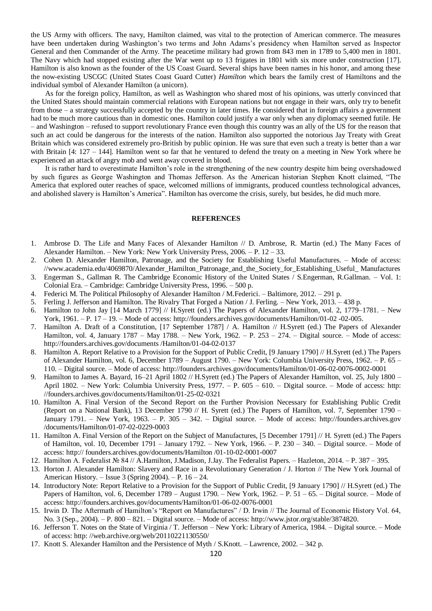the US Army with officers. The navy, Hamilton claimed, was vital to the protection of American commerce. The measures have been undertaken during Washington's two terms and John Adams's presidency when Hamilton served as Inspector General and then Commander of the Army. The peacetime military had grown from 843 men in 1789 to 5,400 men in 1801. The Navy which had stopped existing after the War went up to 13 frigates in 1801 with six more under construction [17]. Hamilton is also known as the founder of the US Coast Guard. Several ships have been names in his honor, and among these the now-existing USCGC (United States Coast Guard Cutter) *Hamilton* which bears the family crest of Hamiltons and the individual symbol of Alexander Hamilton (a unicorn).

As for the foreign policy, Hamilton, as well as Washington who shared most of his opinions, was utterly convinced that the United States should maintain commercial relations with European nations but not engage in their wars, only try to benefit from those – a strategy successfully accepted by the country in later times. He considered that in foreign affairs a government had to be much more cautious than in domestic ones. Hamilton could justify a war only when any diplomacy seemed futile. He – and Washington – refused to support revolutionary France even though this country was an ally of the US for the reason that such an act could be dangerous for the interests of the nation. Hamilton also supported the notorious Jay Treaty with Great Britain which was considered extremely pro-British by public opinion. He was sure that even such a treaty is better than a war with Britain [4: 127 – 144]. Hamilton went so far that he ventured to defend the treaty on a meeting in New York where he experienced an attack of angry mob and went away covered in blood.

It is rather hard to overestimate Hamilton's role in the strengthening of the new country despite him being overshadowed by such figures as George Washington and Thomas Jefferson. As the American historian Stephen Knott claimed, "The America that explored outer reaches of space, welcomed millions of immigrants, produced countless technological advances, and abolished slavery is Hamilton's America". Hamilton has overcome the crisis, surely, but besides, he did much more.

## **REFERENCES**

- 1. Ambrose D. The Life and Many Faces of Alexander Hamilton // D. Ambrose, R. Martin (ed.) The Many Faces of Alexander Hamilton. – New York: New York University Press, 2006. – P. 12 – 33.
- 2. Cohen D. Alexander Hamilton, Patronage, and the Society for Establishing Useful Manufactures. Mode of access: [//www.academia.edu/4069870/A](http://www.academia.edu/4069870/)lexander\_Hamilton\_Patronage\_and\_the\_Society\_for\_Establishing\_Useful\_ Manufactures
- 3. Engerman S., Gallman R. The Cambridge Economic History of the United States / S.Engerman, R.Gallman. Vol. 1: Colonial Era. – Cambridge: Cambridge University Press, 1996. – 500 p.
- 4. Federici M. The Political Philosophy of Alexander Hamilton / M.Federici. Baltimore, 2012. 291 p.
- 5. Ferling J. Jefferson and Hamilton. The Rivalry That Forged a Nation / J. Ferling. New York, 2013. 438 p.
- 6. Hamilton to John Jay [14 March 1779] // H.Syrett (ed.) The Papers of Alexander Hamilton, vol. 2, 1779–1781. New York, 1961. – P. 17 – 19. – Mode of access: [http://founders.archives.gov/documents/Hamilton/0](http://founders.archives.gov/documents/Hamilton/)1-02 -02-005.
- 7. Hamilton A. Draft of a Constitution, [17 September 1787] / A. Hamilton // H.Syrett (ed.) The Papers of Alexander Hamilton, vol. 4, January 1787 – May 1788. – New York, 1962. – P. 253 – 274. – Digital source. – Mode of access: [http://founders.archives.gov/documents /Hamilton/01-04-02-0137](http://founders.archives.gov/documents%20/Hamilton/01-04-02-0137)
- 8. Hamilton A. Report Relative to a Provision for the Support of Public Credit, [9 January 1790] // H.Syrett (ed.) The Papers of Alexander Hamilton, vol. 6, December 1789 – August 1790. – New York: Columbia University Press, 1962. – P. 65 – 110. – Digital source. – Mode of access:<http://founders.archives.gov/documents/Hamilton/01-06-02-0076-0002-0001>
- 9. Hamilton to James A. Bayard, 16–21 April 1802 // H.Syrett (ed.) The Papers of Alexander Hamilton, vol. 25, July 1800 April 1802. – New York: Columbia University Press, 1977. – P. 605 – 610. – Digital source. – Mode of access: http: //founders.archives.gov/documents/Hamilton/01-25-02-0321
- 10. Hamilton A. Final Version of the Second Report on the Further Provision Necessary for Establishing Public Credit (Report on a National Bank), 13 December 1790 // H. Syrett (ed.) The Papers of Hamilton, vol. 7, September 1790 – January 1791. – New York, 1963. – P. 305 – 342. – Digital source. – Mode of access: http://founders.archives.gov /documents/Hamilton/01-07-02-0229-0003
- 11. Hamilton A. Final Version of the Report on the Subject of Manufactures, [5 December 1791] // H. Syrett (ed.) The Papers of Hamilton, vol. 10, December 1791 – January 1792. – New York, 1966. – P. 230 – 340. – Digital source. – Mode of access: http:// founders.archives.gov/documents/Hamilton /01-10-02-0001-0007
- 12. Hamilton A. Federalist № 84 // A.Hamilton, J.Madison, J.Jay. The Federalist Papers. Hazleton, 2014. P. 387 395.
- 13. Horton J. Alexander Hamilton: Slavery and Race in a Revolutionary Generation / J. Horton // The New York Journal of American History. – Issue 3 (Spring 2004). – P. 16 – 24.
- 14. Introductory Note: Report Relative to a Provision for the Support of Public Credit, [9 January 1790] // H.Syrett (ed.) The Papers of Hamilton, vol. 6, December 1789 – August 1790. – New York, 1962. – P. 51 – 65. – Digital source. – Mode of access: [http://founders.archives.gov/documents/H](http://founders.archives.gov/documents/)amilton/01-06-02-0076-0001
- 15. Irwin D. The Aftermath of Hamilton's "Report on Manufactures" / D. Irwin // The Journal of Economic History Vol. 64, No. 3 (Sep., 2004). – P. 800 – 821. – Digital source. – Mode of access: [http://www.jstor.org/stable/3874820.](http://www.jstor.org/stable/3874820)
- 16. Jefferson T. Notes on the State of Virginia / T. Jefferson New York: Library of America, 1984. Digital source. Mode of access: http: //web.archive.org/web/20110221130550/
- 17. Knott S. Alexander Hamilton and the Persistence of Myth / S.Knott. Lawrence, 2002. 342 p.